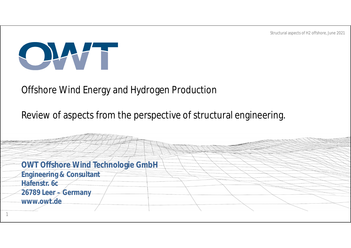

#### Offshore Wind Energy and Hydrogen Production

#### Review of aspects from the perspective of structural engineering.

**OWT Offshore Wind Technologie GmbH Engineering & Consultant Hafenstr. 6c 26789 Leer – Germany www.owt.de** 1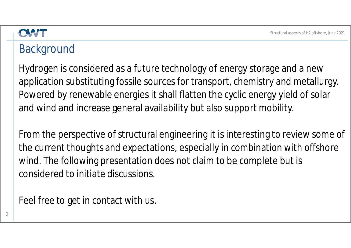#### **Background**

Hydrogen is considered as a future technology of energy storage and a new application substituting fossile sources for transport, chemistry and metallurgy. Powered by renewable energies it shall flatten the cyclic energy yield of solar and wind and increase general availability but also support mobility.

From the perspective of structural engineering it is interesting to review some of the current thoughts and expectations, especially in combination with offshore wind. The following presentation does not claim to be complete but is considered to initiate discussions.

Feel free to get in contact with us.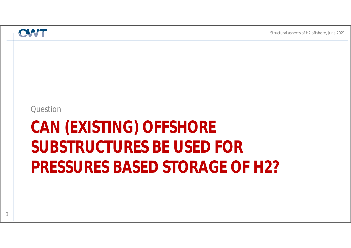Question

# **CAN (EXISTING) OFFSHORE SUBSTRUCTURES BE USED FOR PRESSURES BASED STORAGE OF H2?**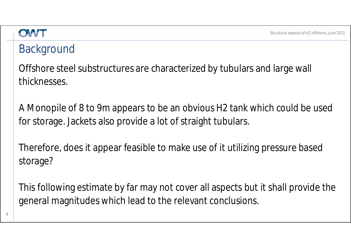#### OWT

#### **Background**

Offshore steel substructures are characterized by tubulars and large wall thicknesses.

A Monopile of 8 to 9m appears to be an obvious H2 tank which could be used for storage. Jackets also provide a lot of straight tubulars.

Therefore, does it appear feasible to make use of it utilizing pressure based storage?

This following estimate by far may not cover all aspects but it shall provide the general magnitudes which lead to the relevant conclusions.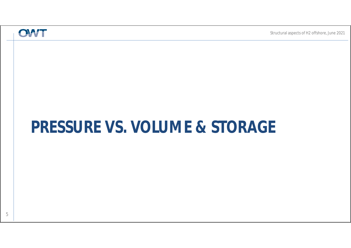## **PRESSURE VS. VOLUME & STORAGE**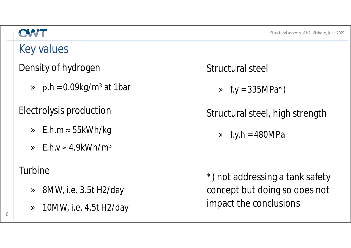## Key values

#### Density of hydrogen

 $\alpha$  p.h = 0.09kg/m<sup>3</sup> at 1bar

Electrolysis production

- » E.h.m ≈ 55kWh/kg
- »  $F.h.v \approx 4.9kWh/m^3$

#### Turbine

- » 8MW, i.e. 3.5t H2/day
- » 10MW, i.e. 4.5t H2/day

Structural steel

 $\sqrt{x}$  f.y = 335MPa<sup>\*</sup>)

#### Structural steel, high strength

 $\sqrt{ }$  f.y.h = 480MPa

\*) not addressing a tank safety concept but doing so does not impact the conclusions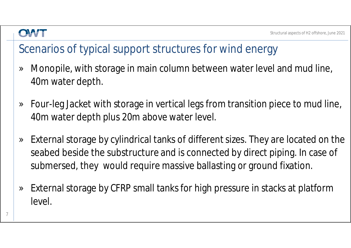### Scenarios of typical support structures for wind energy

- » Monopile, with storage in main column between water level and mud line, 40m water depth.
- » Four-leg Jacket with storage in vertical legs from transition piece to mud line, 40m water depth plus 20m above water level.
- » External storage by cylindrical tanks of different sizes. They are located on the seabed beside the substructure and is connected by direct piping. In case of submersed, they would require massive ballasting or ground fixation.
- » External storage by CFRP small tanks for high pressure in stacks at platform level.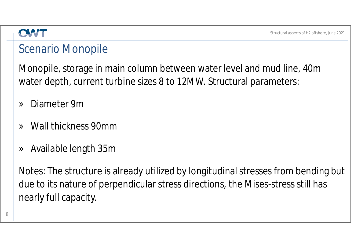#### Scenario Monopile

Monopile, storage in main column between water level and mud line, 40m water depth, current turbine sizes 8 to 12MW. Structural parameters:

- » Diameter 9m
- » Wall thickness 90mm
- » Available length 35m

Notes: The structure is already utilized by longitudinal stresses from bending but due to its nature of perpendicular stress directions, the Mises-stress still has nearly full capacity.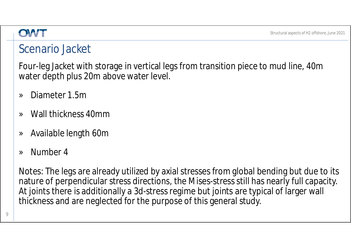#### Scenario Jacket

Four-leg Jacket with storage in vertical legs from transition piece to mud line, 40m water depth plus 20m above water level.

- » Diameter 1.5m
- » Wall thickness 40mm
- » Available length 60m
- » Number 4

Notes: The legs are already utilized by axial stresses from global bending but due to its nature of perpendicular stress directions, the Mises-stress still has nearly full capacity. At joints there is additionally a 3d-stress regime but joints are typical of larger wall thickness and are neglected for the purpose of this general study.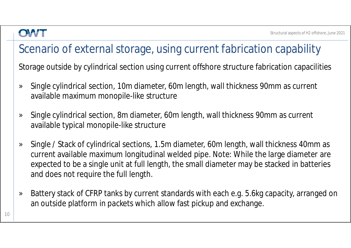### Scenario of external storage, using current fabrication capability

Storage outside by cylindrical section using current offshore structure fabrication capacilities

- » Single cylindrical section, 10m diameter, 60m length, wall thickness 90mm as current available maximum monopile-like structure
- » Single cylindrical section, 8m diameter, 60m length, wall thickness 90mm as current available typical monopile-like structure
- » Single / Stack of cylindrical sections, 1.5m diameter, 60m length, wall thickness 40mm as current available maximum longitudinal welded pipe. Note: While the large diameter are expected to be a single unit at full length, the small diameter may be stacked in batteries and does not require the full length.
- » Battery stack of CFRP tanks by current standards with each e.g. 5.6kg capacity, arranged on an outside platform in packets which allow fast pickup and exchange.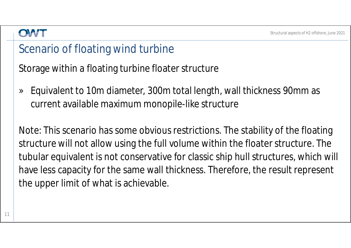#### Scenario of floating wind turbine

Storage within a floating turbine floater structure

» Equivalent to 10m diameter, 300m total length, wall thickness 90mm as current available maximum monopile-like structure

Note: This scenario has some obvious restrictions. The stability of the floating structure will not allow using the full volume within the floater structure. The tubular equivalent is not conservative for classic ship hull structures, which will have less capacity for the same wall thickness. Therefore, the result represent the upper limit of what is achievable.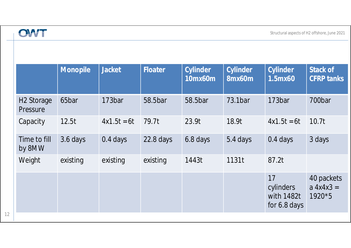|                                    | <b>Monopile</b> | <b>Jacket</b> | Floater     | Cylinder<br>10mx60m | Cylinder<br>$\overline{8}$ mx60m | Cylinder<br>1.5mx60                           | Stack of<br><b>CFRP tanks</b>         |
|------------------------------------|-----------------|---------------|-------------|---------------------|----------------------------------|-----------------------------------------------|---------------------------------------|
| H <sub>2</sub> Storage<br>Pressure | 65bar           | 173bar        | 58.5bar     | 58.5bar             | 73.1bar                          | 173bar                                        | 700bar                                |
| Capacity                           | 12.5t           | $4x1.5t = 6t$ | 79.7t       | 23.9t               | 18.9t                            | $4x1.5t = 6t$                                 | 10.7t                                 |
| Time to fill<br>by 8MW             | 3.6 days        | $0.4$ days    | $22.8$ days | 6.8 days            | 5.4 days                         | $0.4$ days                                    | 3 days                                |
| Weight                             | existing        | existing      | existing    | 1443t               | 1131t                            | 87.2t                                         |                                       |
|                                    |                 |               |             |                     |                                  | 17<br>cylinders<br>with 1482t<br>for 6.8 days | 40 packets<br>$a 4x4x3 =$<br>$1920*5$ |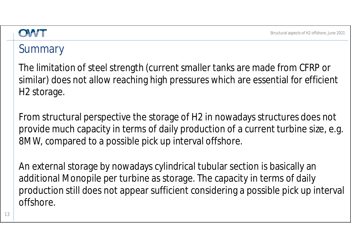### **Summary**

The limitation of steel strength (current smaller tanks are made from CFRP or similar) does not allow reaching high pressures which are essential for efficient H2 storage.

From structural perspective the storage of H2 in nowadays structures does not provide much capacity in terms of daily production of a current turbine size, e.g. 8MW, compared to a possible pick up interval offshore.

An external storage by nowadays cylindrical tubular section is basically an additional Monopile per turbine as storage. The capacity in terms of daily production still does not appear sufficient considering a possible pick up interval offshore.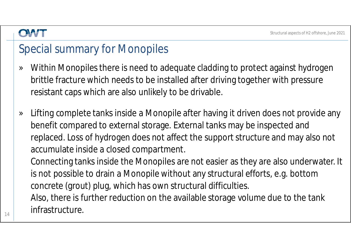#### Special summary for Monopiles

- » Within Monopiles there is need to adequate cladding to protect against hydrogen brittle fracture which needs to be installed after driving together with pressure resistant caps which are also unlikely to be drivable.
- » Lifting complete tanks inside a Monopile after having it driven does not provide any benefit compared to external storage. External tanks may be inspected and replaced. Loss of hydrogen does not affect the support structure and may also not accumulate inside a closed compartment.

Connecting tanks inside the Monopiles are not easier as they are also underwater. It is not possible to drain a Monopile without any structural efforts, e.g. bottom concrete (grout) plug, which has own structural difficulties. Also, there is further reduction on the available storage volume due to the tank infrastructure.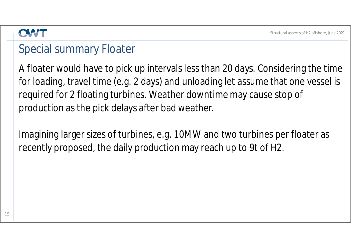#### Special summary Floater

A floater would have to pick up intervals less than 20 days. Considering the time for loading, travel time (e.g. 2 days) and unloading let assume that one vessel is required for 2 floating turbines. Weather downtime may cause stop of production as the pick delays after bad weather.

Imagining larger sizes of turbines, e.g. 10MW and two turbines per floater as recently proposed, the daily production may reach up to 9t of H2.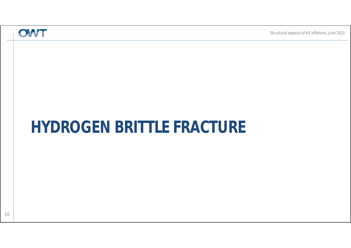## **HYDROGEN BRITTLE FRACTURE**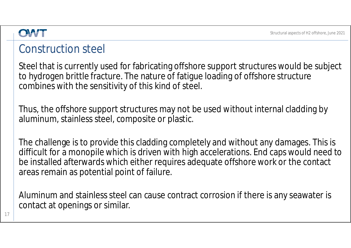#### Construction steel

Steel that is currently used for fabricating offshore support structures would be subject to hydrogen brittle fracture. The nature of fatigue loading of offshore structure combines with the sensitivity of this kind of steel.

Thus, the offshore support structures may not be used without internal cladding by aluminum, stainless steel, composite or plastic.

The challenge is to provide this cladding completely and without any damages. This is difficult for a monopile which is driven with high accelerations. End caps would need to be installed afterwards which either requires adequate offshore work or the contact areas remain as potential point of failure.

Aluminum and stainless steel can cause contract corrosion if there is any seawater is contact at openings or similar.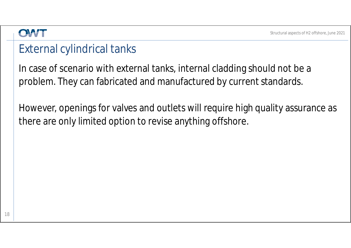#### External cylindrical tanks

In case of scenario with external tanks, internal cladding should not be a problem. They can fabricated and manufactured by current standards.

However, openings for valves and outlets will require high quality assurance as there are only limited option to revise anything offshore.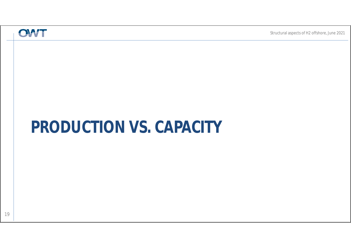## **PRODUCTION VS. CAPACITY**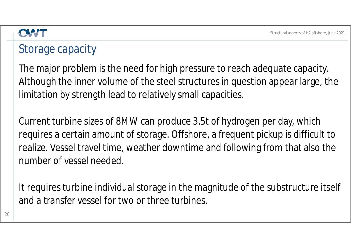## Storage capacity

The major problem is the need for high pressure to reach adequate capacity. Although the inner volume of the steel structures in question appear large, the limitation by strength lead to relatively small capacities.

Current turbine sizes of 8MW can produce 3.5t of hydrogen per day, which requires a certain amount of storage. Offshore, a frequent pickup is difficult to realize. Vessel travel time, weather downtime and following from that also the number of vessel needed.

It requires turbine individual storage in the magnitude of the substructure itself and a transfer vessel for two or three turbines.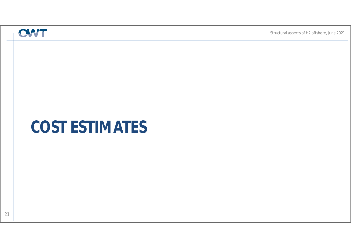## **COST ESTIMATES**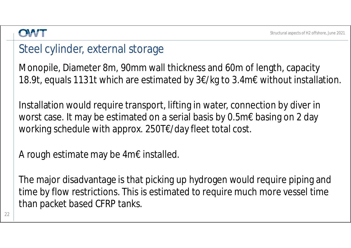#### Steel cylinder, external storage

Monopile, Diameter 8m, 90mm wall thickness and 60m of length, capacity 18.9t, equals 1131t which are estimated by 3€/kg to 3.4m€ without installation.

Installation would require transport, lifting in water, connection by diver in worst case. It may be estimated on a serial basis by 0.5m€ basing on 2 day working schedule with approx. 250T€/day fleet total cost.

A rough estimate may be 4m€ installed.

The major disadvantage is that picking up hydrogen would require piping and time by flow restrictions. This is estimated to require much more vessel time than packet based CFRP tanks.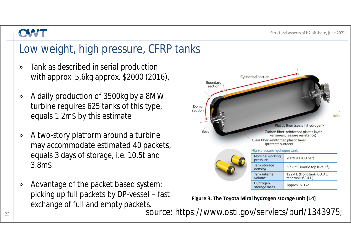## Low weight, high pressure, CFRP tanks

- » Tank as described in serial production with approx. 5,6kg approx. \$2000 (2016),
- » A daily production of 3500kg by a 8MW turbine requires 625 tanks of this type, equals 1.2m\$ by this estimate
- » A two-story platform around a turbine may accommodate estimated 40 packets, equals 3 days of storage, i.e. 10.5t and 3.8m\$
- » Advantage of the packet based system: picking up full packets by DP-vessel – fast exchange of full and empty packets.



Figure 3. The Toyota Mirai hydrogen storage unit [14]

 $\frac{23}{23}$  source: https://www.osti.gov/servlets/purl/1343975;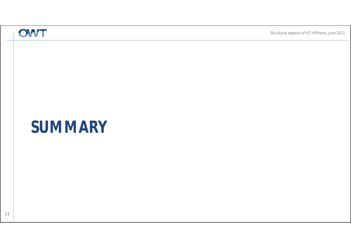## **SUMMARY**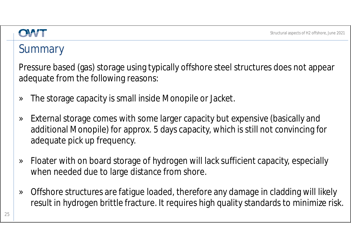#### OLWH

### **Summary**

Pressure based (gas) storage using typically offshore steel structures does not appear adequate from the following reasons:

- » The storage capacity is small inside Monopile or Jacket.
- » External storage comes with some larger capacity but expensive (basically and additional Monopile) for approx. 5 days capacity, which is still not convincing for adequate pick up frequency.
- » Floater with on board storage of hydrogen will lack sufficient capacity, especially when needed due to large distance from shore.
- » Offshore structures are fatigue loaded, therefore any damage in cladding will likely result in hydrogen brittle fracture. It requires high quality standards to minimize risk.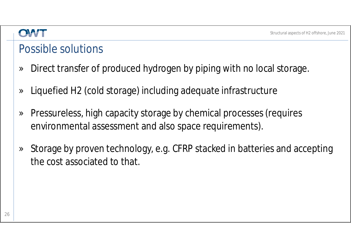#### Possible solutions

- » Direct transfer of produced hydrogen by piping with no local storage.
- » Liquefied H2 (cold storage) including adequate infrastructure
- » Pressureless, high capacity storage by chemical processes (requires environmental assessment and also space requirements).
- » Storage by proven technology, e.g. CFRP stacked in batteries and accepting the cost associated to that.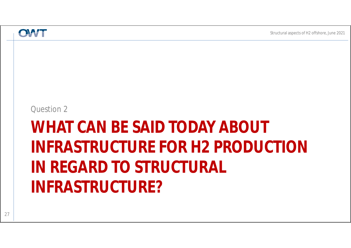#### Question 2

# **WHAT CAN BE SAID TODAY ABOUT INFRASTRUCTURE FOR H2 PRODUCTION IN REGARD TO STRUCTURAL INFRASTRUCTURE?**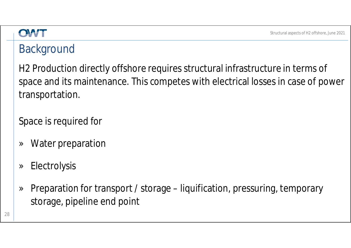#### **Background**

H2 Production directly offshore requires structural infrastructure in terms of space and its maintenance. This competes with electrical losses in case of power transportation.

Space is required for

- » Water preparation
- » Electrolysis
- » Preparation for transport / storage liquification, pressuring, temporary storage, pipeline end point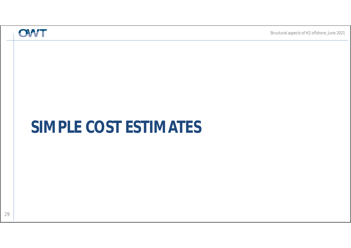## **SIMPLE COST ESTIMATES**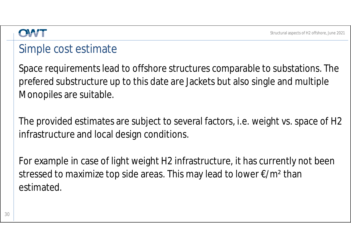#### Simple cost estimate

Space requirements lead to offshore structures comparable to substations. The prefered substructure up to this date are Jackets but also single and multiple Monopiles are suitable.

The provided estimates are subject to several factors, i.e. weight vs. space of H2 infrastructure and local design conditions.

For example in case of light weight H2 infrastructure, it has currently not been stressed to maximize top side areas. This may lead to lower €/m² than estimated.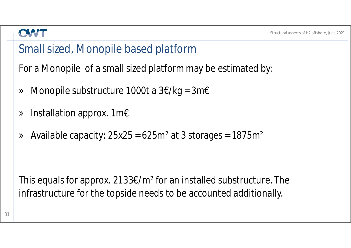#### Small sized, Monopile based platform

For a Monopile of a small sized platform may be estimated by:

- » Monopile substructure 1000t a  $3 \notin /kg = 3m \in$
- » Installation approx. 1m€
- $\alpha$  Available capacity: 25x25 = 625m<sup>2</sup> at 3 storages = 1875m<sup>2</sup>

This equals for approx. 2133€/m² for an installed substructure. The infrastructure for the topside needs to be accounted additionally.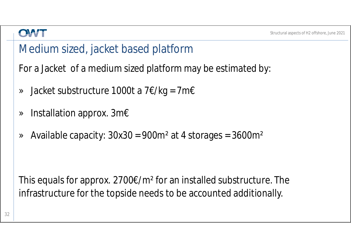#### Medium sized, jacket based platform

For a Jacket of a medium sized platform may be estimated by:

- » Jacket substructure 1000t a 7€/kg = 7m€
- » Installation approx. 3m€
- $\alpha$  Available capacity:  $30x30 = 900m^2$  at 4 storages =  $3600m^2$

This equals for approx. 2700 $\epsilon/m^2$  for an installed substructure. The infrastructure for the topside needs to be accounted additionally.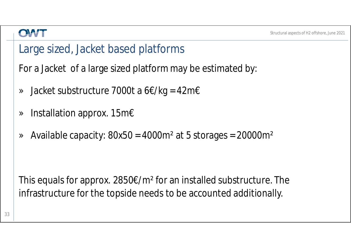#### Large sized, Jacket based platforms

For a Jacket of a large sized platform may be estimated by:

- » Jacket substructure 7000t a 6€/kg = 42m€
- » Installation approx. 15m€
- $\alpha$  Available capacity: 80x50 = 4000m<sup>2</sup> at 5 storages = 20000m<sup>2</sup>

This equals for approx. 2850€/m² for an installed substructure. The infrastructure for the topside needs to be accounted additionally.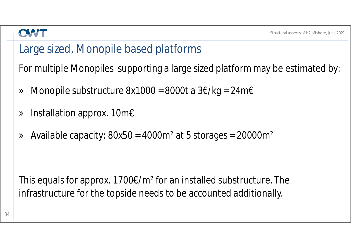#### Large sized, Monopile based platforms

For multiple Monopiles supporting a large sized platform may be estimated by:

- » Monopile substructure 8x1000 = 8000t a 3€/kg = 24m€
- » Installation approx. 10m€
- $\alpha$  Available capacity: 80x50 = 4000m<sup>2</sup> at 5 storages = 20000m<sup>2</sup>

This equals for approx.  $1700 \epsilon/m^2$  for an installed substructure. The infrastructure for the topside needs to be accounted additionally.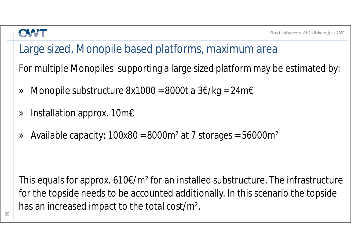### Large sized, Monopile based platforms, maximum area

For multiple Monopiles supporting a large sized platform may be estimated by:

- » Monopile substructure 8x1000 = 8000t a 3€/kg = 24m€
- » Installation approx. 10m€
- » Available capacity: 100x80 = 8000m² at 7 storages = 56000m²

This equals for approx. 610€/m² for an installed substructure. The infrastructure for the topside needs to be accounted additionally. In this scenario the topside has an increased impact to the total cost/m².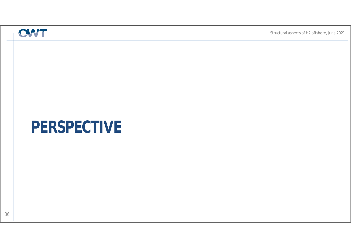## **PERSPECTIVE**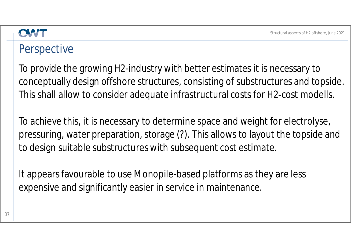#### Perspective

To provide the growing H2-industry with better estimates it is necessary to conceptually design offshore structures, consisting of substructures and topside. This shall allow to consider adequate infrastructural costs for H2-cost modells.

To achieve this, it is necessary to determine space and weight for electrolyse, pressuring, water preparation, storage (?). This allows to layout the topside and to design suitable substructures with subsequent cost estimate.

It appears favourable to use Monopile-based platforms as they are less expensive and significantly easier in service in maintenance.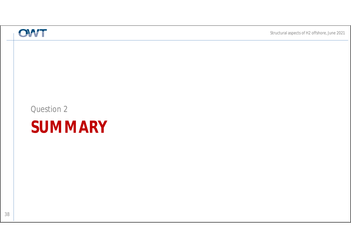#### Question 2

## **SUMMARY**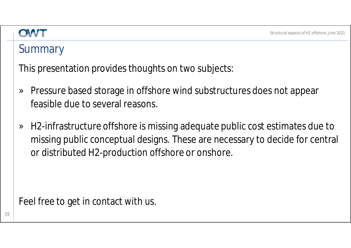### **Summary**

This presentation provides thoughts on two subjects:

- » Pressure based storage in offshore wind substructures does not appear feasible due to several reasons.
- » H2-infrastructure offshore is missing adequate public cost estimates due to missing public conceptual designs. These are necessary to decide for central or distributed H2-production offshore or onshore.

Feel free to get in contact with us.